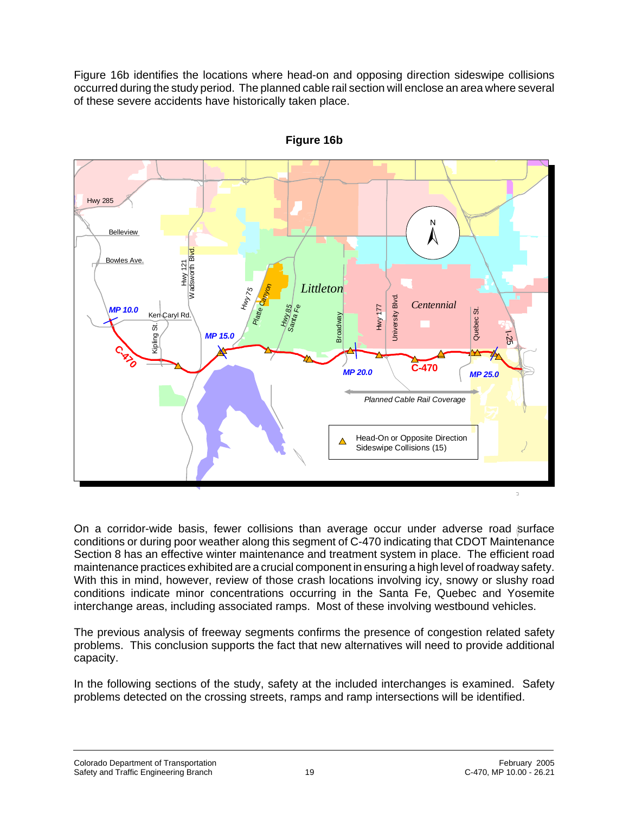Figure 16b identifies the locations where head-on and opposing direction sideswipe collisions occurred during the study period. The planned cable rail section will enclose an area where several of these severe accidents have historically taken place.



**Figure 16b**

On a corridor-wide basis, fewer collisions than average occur under adverse road surface conditions or during poor weather along this segment of C-470 indicating that CDOT Maintenance Section 8 has an effective winter maintenance and treatment system in place. The efficient road maintenance practices exhibited are a crucial component in ensuring a high level of roadway safety. With this in mind, however, review of those crash locations involving icy, snowy or slushy road conditions indicate minor concentrations occurring in the Santa Fe, Quebec and Yosemite interchange areas, including associated ramps. Most of these involving westbound vehicles.

The previous analysis of freeway segments confirms the presence of congestion related safety problems. This conclusion supports the fact that new alternatives will need to provide additional capacity.

In the following sections of the study, safety at the included interchanges is examined. Safety problems detected on the crossing streets, ramps and ramp intersections will be identified.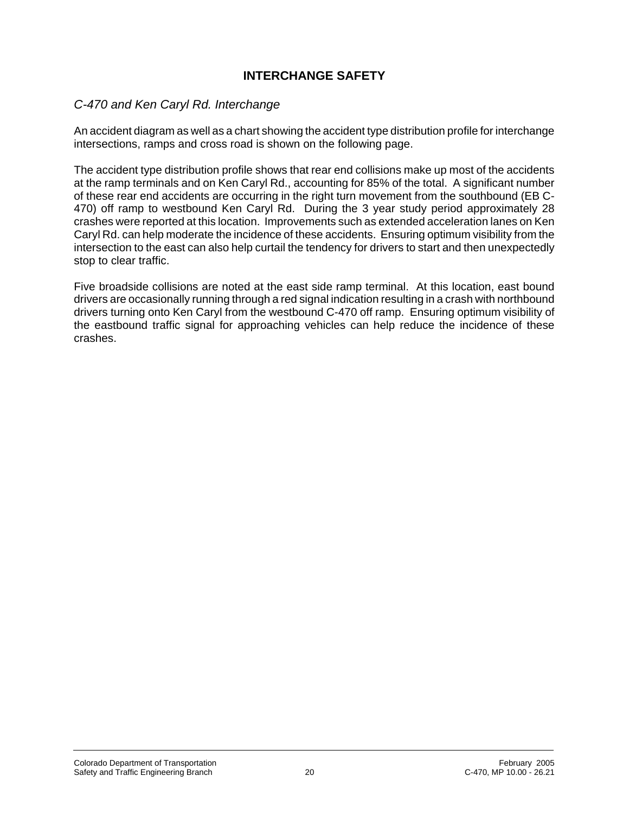## **INTERCHANGE SAFETY**

## *C-470 and Ken Caryl Rd. Interchange*

An accident diagram as well as a chart showing the accident type distribution profile for interchange intersections, ramps and cross road is shown on the following page.

The accident type distribution profile shows that rear end collisions make up most of the accidents at the ramp terminals and on Ken Caryl Rd., accounting for 85% of the total. A significant number of these rear end accidents are occurring in the right turn movement from the southbound (EB C-470) off ramp to westbound Ken Caryl Rd. During the 3 year study period approximately 28 crashes were reported at this location. Improvements such as extended acceleration lanes on Ken Caryl Rd. can help moderate the incidence of these accidents. Ensuring optimum visibility from the intersection to the east can also help curtail the tendency for drivers to start and then unexpectedly stop to clear traffic.

Five broadside collisions are noted at the east side ramp terminal. At this location, east bound drivers are occasionally running through a red signal indication resulting in a crash with northbound drivers turning onto Ken Caryl from the westbound C-470 off ramp. Ensuring optimum visibility of the eastbound traffic signal for approaching vehicles can help reduce the incidence of these crashes.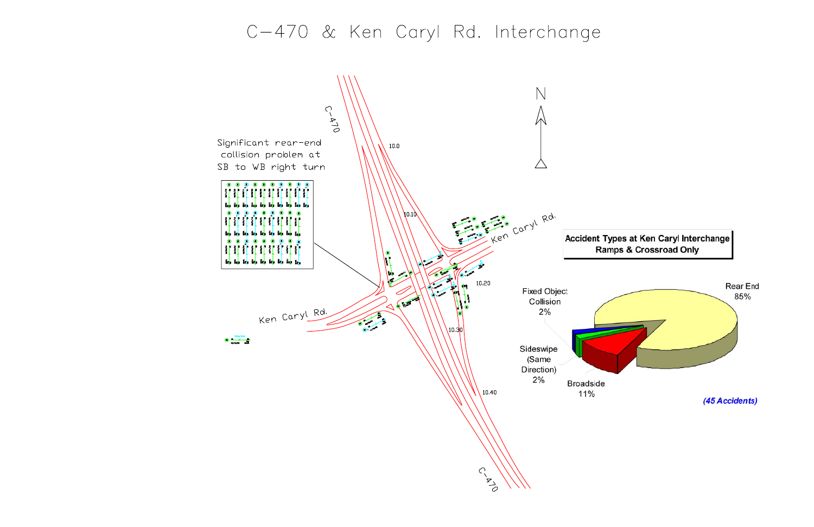## C-470 & Ken Caryl Rd. Interchange